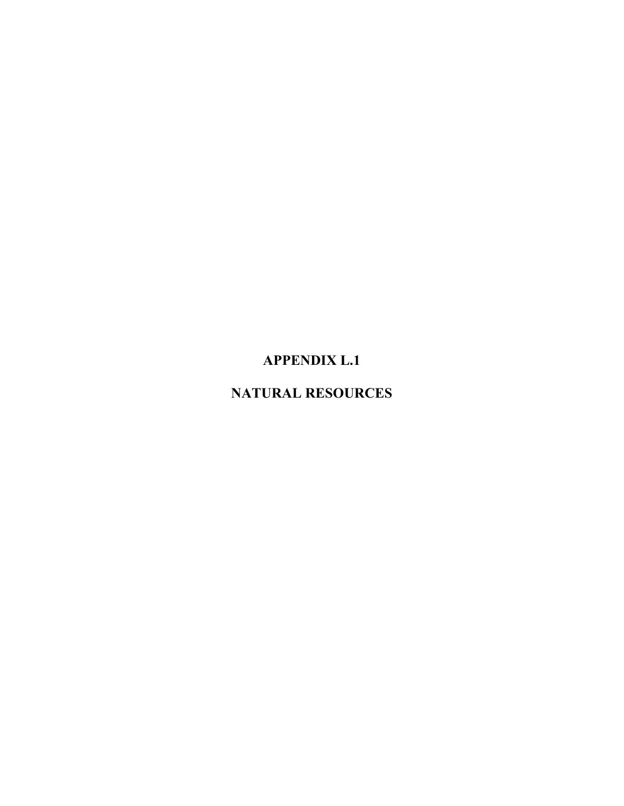# **APPENDIX L.1**

# **NATURAL RESOURCES**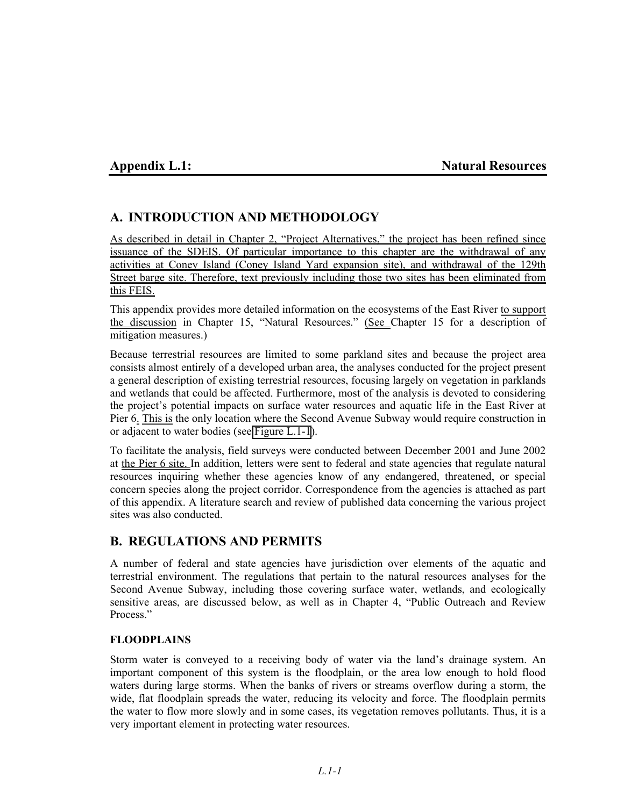### **Appendix L.1:** Natural Resources

## **A. INTRODUCTION AND METHODOLOGY**

As described in detail in Chapter 2, "Project Alternatives," the project has been refined since issuance of the SDEIS. Of particular importance to this chapter are the withdrawal of any activities at Coney Island (Coney Island Yard expansion site), and withdrawal of the 129th Street barge site. Therefore, text previously including those two sites has been eliminated from this FEIS.

This appendix provides more detailed information on the ecosystems of the East River to support the discussion in Chapter 15, "Natural Resources." (See Chapter 15 for a description of mitigation measures.)

Because terrestrial resources are limited to some parkland sites and because the project area consists almost entirely of a developed urban area, the analyses conducted for the project present a general description of existing terrestrial resources, focusing largely on vegetation in parklands and wetlands that could be affected. Furthermore, most of the analysis is devoted to considering the project's potential impacts on surface water resources and aquatic life in the East River at Pier 6. This is the only location where the Second Avenue Subway would require construction in or adjacent to water bodies (see Figure L.1-1).

To facilitate the analysis, field surveys were conducted between December 2001 and June 2002 at the Pier 6 site. In addition, letters were sent to federal and state agencies that regulate natural resources inquiring whether these agencies know of any endangered, threatened, or special concern species along the project corridor. Correspondence from the agencies is attached as part of this appendix. A literature search and review of published data concerning the various project sites was also conducted.

## **B. REGULATIONS AND PERMITS**

A number of federal and state agencies have jurisdiction over elements of the aquatic and terrestrial environment. The regulations that pertain to the natural resources analyses for the Second Avenue Subway, including those covering surface water, wetlands, and ecologically sensitive areas, are discussed below, as well as in Chapter 4, "Public Outreach and Review Process."

#### **FLOODPLAINS**

Storm water is conveyed to a receiving body of water via the land's drainage system. An important component of this system is the floodplain, or the area low enough to hold flood waters during large storms. When the banks of rivers or streams overflow during a storm, the wide, flat floodplain spreads the water, reducing its velocity and force. The floodplain permits the water to flow more slowly and in some cases, its vegetation removes pollutants. Thus, it is a very important element in protecting water resources.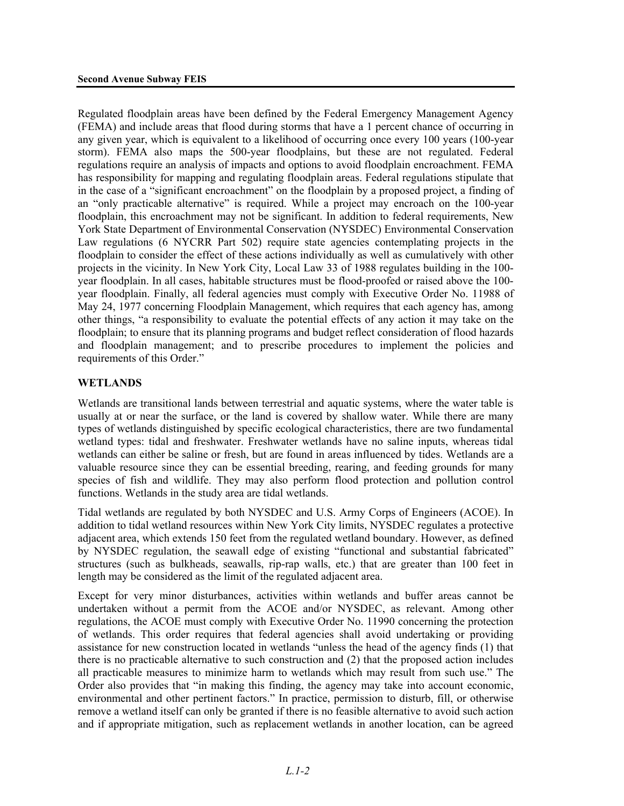Regulated floodplain areas have been defined by the Federal Emergency Management Agency (FEMA) and include areas that flood during storms that have a 1 percent chance of occurring in any given year, which is equivalent to a likelihood of occurring once every 100 years (100-year storm). FEMA also maps the 500-year floodplains, but these are not regulated. Federal regulations require an analysis of impacts and options to avoid floodplain encroachment. FEMA has responsibility for mapping and regulating floodplain areas. Federal regulations stipulate that in the case of a "significant encroachment" on the floodplain by a proposed project, a finding of an "only practicable alternative" is required. While a project may encroach on the 100-year floodplain, this encroachment may not be significant. In addition to federal requirements, New York State Department of Environmental Conservation (NYSDEC) Environmental Conservation Law regulations (6 NYCRR Part 502) require state agencies contemplating projects in the floodplain to consider the effect of these actions individually as well as cumulatively with other projects in the vicinity. In New York City, Local Law 33 of 1988 regulates building in the 100 year floodplain. In all cases, habitable structures must be flood-proofed or raised above the 100 year floodplain. Finally, all federal agencies must comply with Executive Order No. 11988 of May 24, 1977 concerning Floodplain Management, which requires that each agency has, among other things, "a responsibility to evaluate the potential effects of any action it may take on the floodplain; to ensure that its planning programs and budget reflect consideration of flood hazards and floodplain management; and to prescribe procedures to implement the policies and requirements of this Order."

#### **WETLANDS**

Wetlands are transitional lands between terrestrial and aquatic systems, where the water table is usually at or near the surface, or the land is covered by shallow water. While there are many types of wetlands distinguished by specific ecological characteristics, there are two fundamental wetland types: tidal and freshwater. Freshwater wetlands have no saline inputs, whereas tidal wetlands can either be saline or fresh, but are found in areas influenced by tides. Wetlands are a valuable resource since they can be essential breeding, rearing, and feeding grounds for many species of fish and wildlife. They may also perform flood protection and pollution control functions. Wetlands in the study area are tidal wetlands.

Tidal wetlands are regulated by both NYSDEC and U.S. Army Corps of Engineers (ACOE). In addition to tidal wetland resources within New York City limits, NYSDEC regulates a protective adjacent area, which extends 150 feet from the regulated wetland boundary. However, as defined by NYSDEC regulation, the seawall edge of existing "functional and substantial fabricated" structures (such as bulkheads, seawalls, rip-rap walls, etc.) that are greater than 100 feet in length may be considered as the limit of the regulated adjacent area.

Except for very minor disturbances, activities within wetlands and buffer areas cannot be undertaken without a permit from the ACOE and/or NYSDEC, as relevant. Among other regulations, the ACOE must comply with Executive Order No. 11990 concerning the protection of wetlands. This order requires that federal agencies shall avoid undertaking or providing assistance for new construction located in wetlands "unless the head of the agency finds (1) that there is no practicable alternative to such construction and (2) that the proposed action includes all practicable measures to minimize harm to wetlands which may result from such use." The Order also provides that "in making this finding, the agency may take into account economic, environmental and other pertinent factors." In practice, permission to disturb, fill, or otherwise remove a wetland itself can only be granted if there is no feasible alternative to avoid such action and if appropriate mitigation, such as replacement wetlands in another location, can be agreed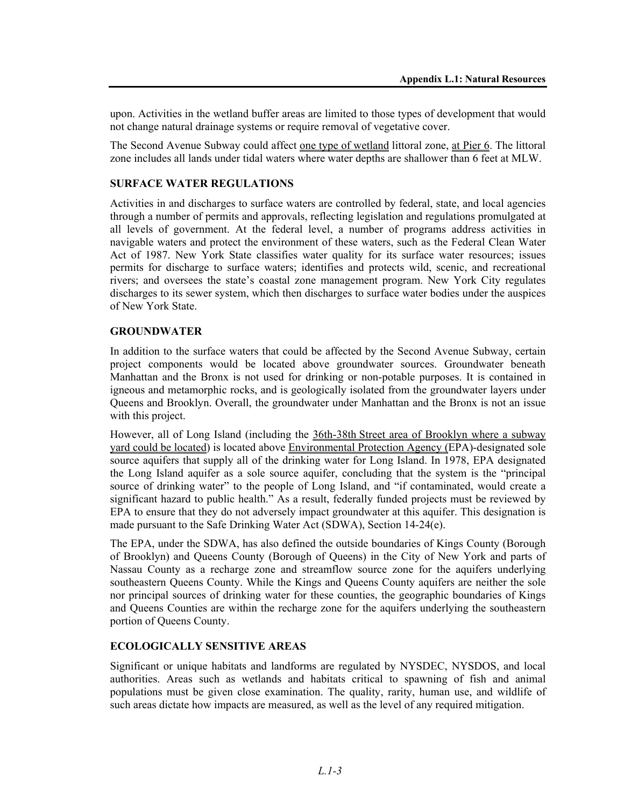upon. Activities in the wetland buffer areas are limited to those types of development that would not change natural drainage systems or require removal of vegetative cover.

The Second Avenue Subway could affect one type of wetland littoral zone, at Pier 6. The littoral zone includes all lands under tidal waters where water depths are shallower than 6 feet at MLW.

#### **SURFACE WATER REGULATIONS**

Activities in and discharges to surface waters are controlled by federal, state, and local agencies through a number of permits and approvals, reflecting legislation and regulations promulgated at all levels of government. At the federal level, a number of programs address activities in navigable waters and protect the environment of these waters, such as the Federal Clean Water Act of 1987. New York State classifies water quality for its surface water resources; issues permits for discharge to surface waters; identifies and protects wild, scenic, and recreational rivers; and oversees the state's coastal zone management program. New York City regulates discharges to its sewer system, which then discharges to surface water bodies under the auspices of New York State.

#### **GROUNDWATER**

In addition to the surface waters that could be affected by the Second Avenue Subway, certain project components would be located above groundwater sources. Groundwater beneath Manhattan and the Bronx is not used for drinking or non-potable purposes. It is contained in igneous and metamorphic rocks, and is geologically isolated from the groundwater layers under Queens and Brooklyn. Overall, the groundwater under Manhattan and the Bronx is not an issue with this project.

However, all of Long Island (including the 36th-38th Street area of Brooklyn where a subway yard could be located) is located above Environmental Protection Agency (EPA)-designated sole source aquifers that supply all of the drinking water for Long Island. In 1978, EPA designated the Long Island aquifer as a sole source aquifer, concluding that the system is the "principal source of drinking water" to the people of Long Island, and "if contaminated, would create a significant hazard to public health." As a result, federally funded projects must be reviewed by EPA to ensure that they do not adversely impact groundwater at this aquifer. This designation is made pursuant to the Safe Drinking Water Act (SDWA), Section 14-24(e).

The EPA, under the SDWA, has also defined the outside boundaries of Kings County (Borough of Brooklyn) and Queens County (Borough of Queens) in the City of New York and parts of Nassau County as a recharge zone and streamflow source zone for the aquifers underlying southeastern Queens County. While the Kings and Queens County aquifers are neither the sole nor principal sources of drinking water for these counties, the geographic boundaries of Kings and Queens Counties are within the recharge zone for the aquifers underlying the southeastern portion of Queens County.

#### **ECOLOGICALLY SENSITIVE AREAS**

Significant or unique habitats and landforms are regulated by NYSDEC, NYSDOS, and local authorities. Areas such as wetlands and habitats critical to spawning of fish and animal populations must be given close examination. The quality, rarity, human use, and wildlife of such areas dictate how impacts are measured, as well as the level of any required mitigation.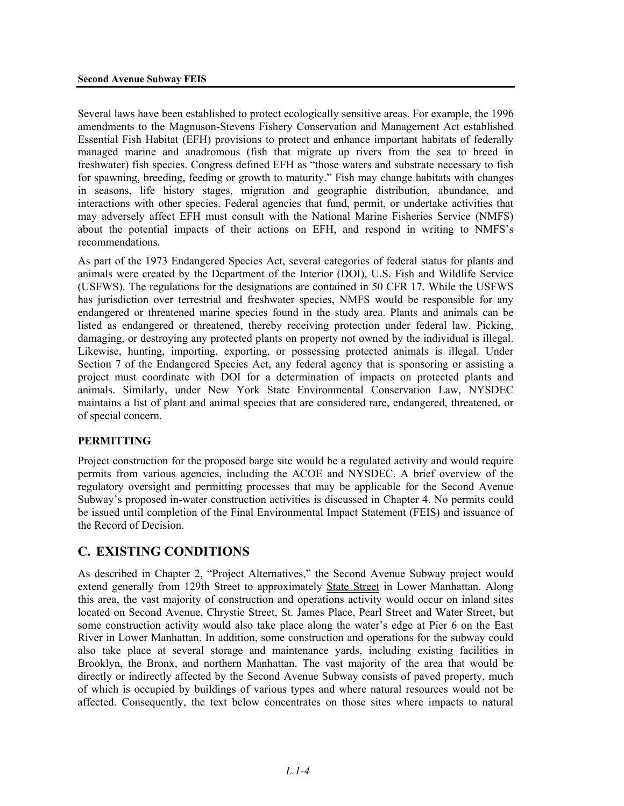Several laws have been established to protect ecologically sensitive areas. For example, the 1996 amendments to the Magnuson-Stevens Fishery Conservation and Management Act established Essential Fish Habitat (EFH) provisions to protect and enhance important habitats of federally managed marine and anadromous (fish that migrate up rivers from the sea to breed in freshwater) fish species. Congress defined EFH as "those waters and substrate necessary to fish for spawning, breeding, feeding or growth to maturity." Fish may change habitats with changes in seasons, life history stages, migration and geographic distribution, abundance, and interactions with other species. Federal agencies that fund, permit, or undertake activities that may adversely affect EFH must consult with the National Marine Fisheries Service (NMFS) about the potential impacts of their actions on EFH, and respond in writing to NMFS's recommendations.

As part of the 1973 Endangered Species Act, several categories of federal status for plants and animals were created by the Department of the Interior (DOI), U.S. Fish and Wildlife Service (USFWS). The regulations for the designations are contained in 50 CFR 17. While the USFWS has jurisdiction over terrestrial and freshwater species, NMFS would be responsible for any endangered or threatened marine species found in the study area. Plants and animals can be listed as endangered or threatened, thereby receiving protection under federal law. Picking, damaging, or destroying any protected plants on property not owned by the individual is illegal. Likewise, hunting, importing, exporting, or possessing protected animals is illegal. Under Section 7 of the Endangered Species Act, any federal agency that is sponsoring or assisting a project must coordinate with DOI for a determination of impacts on protected plants and animals. Similarly, under New York State Environmental Conservation Law, NYSDEC maintains a list of plant and animal species that are considered rare, endangered, threatened, or of special concern.

#### **PERMITTING**

Project construction for the proposed barge site would be a regulated activity and would require permits from various agencies, including the ACOE and NYSDEC. A brief overview of the regulatory oversight and permitting processes that may be applicable for the Second Avenue Subway's proposed in-water construction activities is discussed in Chapter 4. No permits could be issued until completion of the Final Environmental Impact Statement (FEIS) and issuance of the Record of Decision.

## **C. EXISTING CONDITIONS**

As described in Chapter 2, "Project Alternatives," the Second Avenue Subway project would extend generally from 129th Street to approximately State Street in Lower Manhattan. Along this area, the vast majority of construction and operations activity would occur on inland sites located on Second Avenue, Chrystie Street, St. James Place, Pearl Street and Water Street, but some construction activity would also take place along the water's edge at Pier 6 on the East River in Lower Manhattan. In addition, some construction and operations for the subway could also take place at several storage and maintenance yards, including existing facilities in Brooklyn, the Bronx, and northern Manhattan. The vast majority of the area that would be directly or indirectly affected by the Second Avenue Subway consists of paved property, much of which is occupied by buildings of various types and where natural resources would not be affected. Consequently, the text below concentrates on those sites where impacts to natural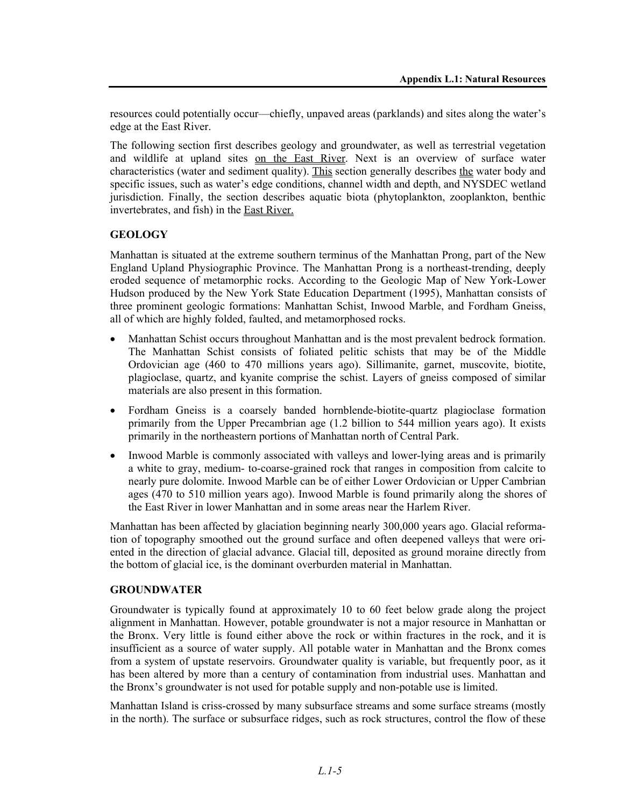resources could potentially occur—chiefly, unpaved areas (parklands) and sites along the water's edge at the East River.

The following section first describes geology and groundwater, as well as terrestrial vegetation and wildlife at upland sites on the East River. Next is an overview of surface water characteristics (water and sediment quality). This section generally describes the water body and specific issues, such as water's edge conditions, channel width and depth, and NYSDEC wetland jurisdiction. Finally, the section describes aquatic biota (phytoplankton, zooplankton, benthic invertebrates, and fish) in the East River.

### **GEOLOGY**

Manhattan is situated at the extreme southern terminus of the Manhattan Prong, part of the New England Upland Physiographic Province. The Manhattan Prong is a northeast-trending, deeply eroded sequence of metamorphic rocks. According to the Geologic Map of New York-Lower Hudson produced by the New York State Education Department (1995), Manhattan consists of three prominent geologic formations: Manhattan Schist, Inwood Marble, and Fordham Gneiss, all of which are highly folded, faulted, and metamorphosed rocks.

- Manhattan Schist occurs throughout Manhattan and is the most prevalent bedrock formation. The Manhattan Schist consists of foliated pelitic schists that may be of the Middle Ordovician age (460 to 470 millions years ago). Sillimanite, garnet, muscovite, biotite, plagioclase, quartz, and kyanite comprise the schist. Layers of gneiss composed of similar materials are also present in this formation.
- Fordham Gneiss is a coarsely banded hornblende-biotite-quartz plagioclase formation primarily from the Upper Precambrian age (1.2 billion to 544 million years ago). It exists primarily in the northeastern portions of Manhattan north of Central Park.
- Inwood Marble is commonly associated with valleys and lower-lying areas and is primarily a white to gray, medium- to-coarse-grained rock that ranges in composition from calcite to nearly pure dolomite. Inwood Marble can be of either Lower Ordovician or Upper Cambrian ages (470 to 510 million years ago). Inwood Marble is found primarily along the shores of the East River in lower Manhattan and in some areas near the Harlem River.

Manhattan has been affected by glaciation beginning nearly 300,000 years ago. Glacial reformation of topography smoothed out the ground surface and often deepened valleys that were oriented in the direction of glacial advance. Glacial till, deposited as ground moraine directly from the bottom of glacial ice, is the dominant overburden material in Manhattan.

#### **GROUNDWATER**

Groundwater is typically found at approximately 10 to 60 feet below grade along the project alignment in Manhattan. However, potable groundwater is not a major resource in Manhattan or the Bronx. Very little is found either above the rock or within fractures in the rock, and it is insufficient as a source of water supply. All potable water in Manhattan and the Bronx comes from a system of upstate reservoirs. Groundwater quality is variable, but frequently poor, as it has been altered by more than a century of contamination from industrial uses. Manhattan and the Bronx's groundwater is not used for potable supply and non-potable use is limited.

Manhattan Island is criss-crossed by many subsurface streams and some surface streams (mostly in the north). The surface or subsurface ridges, such as rock structures, control the flow of these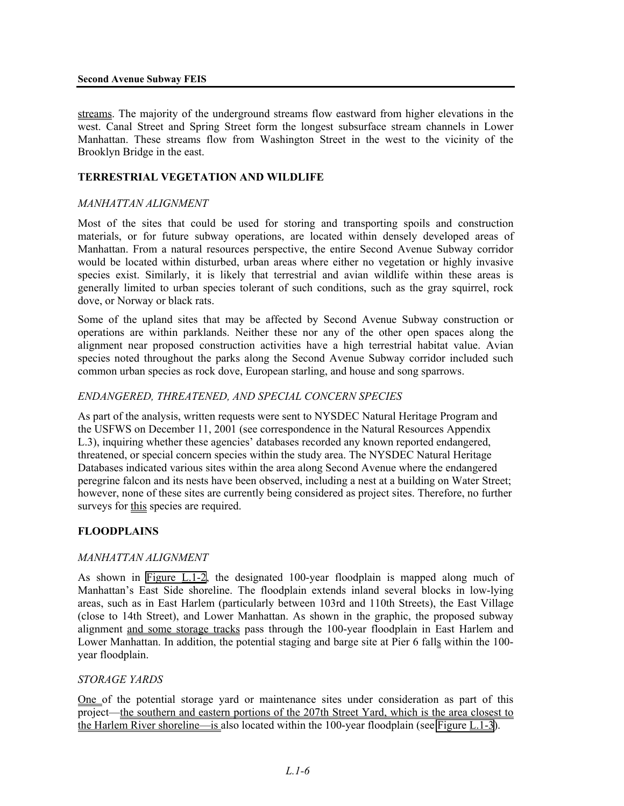#### **Second Avenue Subway FEIS**

streams. The majority of the underground streams flow eastward from higher elevations in the west. Canal Street and Spring Street form the longest subsurface stream channels in Lower Manhattan. These streams flow from Washington Street in the west to the vicinity of the Brooklyn Bridge in the east.

#### **TERRESTRIAL VEGETATION AND WILDLIFE**

#### *MANHATTAN ALIGNMENT*

Most of the sites that could be used for storing and transporting spoils and construction materials, or for future subway operations, are located within densely developed areas of Manhattan. From a natural resources perspective, the entire Second Avenue Subway corridor would be located within disturbed, urban areas where either no vegetation or highly invasive species exist. Similarly, it is likely that terrestrial and avian wildlife within these areas is generally limited to urban species tolerant of such conditions, such as the gray squirrel, rock dove, or Norway or black rats.

Some of the upland sites that may be affected by Second Avenue Subway construction or operations are within parklands. Neither these nor any of the other open spaces along the alignment near proposed construction activities have a high terrestrial habitat value. Avian species noted throughout the parks along the Second Avenue Subway corridor included such common urban species as rock dove, European starling, and house and song sparrows.

#### *ENDANGERED, THREATENED, AND SPECIAL CONCERN SPECIES*

As part of the analysis, written requests were sent to NYSDEC Natural Heritage Program and the USFWS on December 11, 2001 (see correspondence in the Natural Resources Appendix L.3), inquiring whether these agencies' databases recorded any known reported endangered, threatened, or special concern species within the study area. The NYSDEC Natural Heritage Databases indicated various sites within the area along Second Avenue where the endangered peregrine falcon and its nests have been observed, including a nest at a building on Water Street; however, none of these sites are currently being considered as project sites. Therefore, no further surveys for this species are required.

#### **FLOODPLAINS**

#### *MANHATTAN ALIGNMENT*

As shown in Figure  $L.1-2$ , the designated 100-year floodplain is mapped along much of Manhattan's East Side shoreline. The floodplain extends inland several blocks in low-lying areas, such as in East Harlem (particularly between 103rd and 110th Streets), the East Village (close to 14th Street), and Lower Manhattan. As shown in the graphic, the proposed subway alignment and some storage tracks pass through the 100-year floodplain in East Harlem and Lower Manhattan. In addition, the potential staging and barge site at Pier 6 falls within the 100 year floodplain.

#### *STORAGE YARDS*

One of the potential storage yard or maintenance sites under consideration as part of this project—the southern and eastern portions of the 207th Street Yard, which is the area closest to the Harlem River shoreline—is also located within the 100-year floodplain (see Figure L.1-3).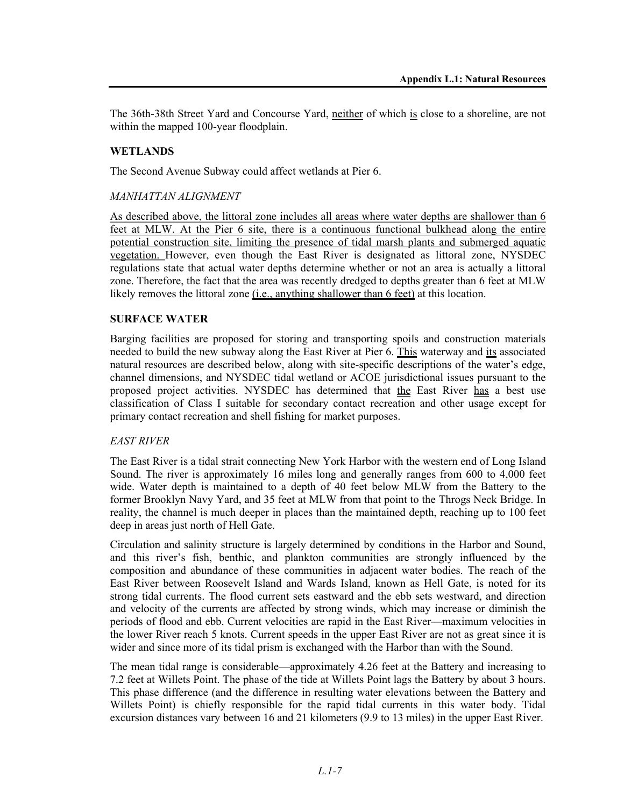The 36th-38th Street Yard and Concourse Yard, neither of which is close to a shoreline, are not within the mapped 100-year floodplain.

#### **WETLANDS**

The Second Avenue Subway could affect wetlands at Pier 6.

#### *MANHATTAN ALIGNMENT*

As described above, the littoral zone includes all areas where water depths are shallower than 6 feet at MLW. At the Pier 6 site, there is a continuous functional bulkhead along the entire potential construction site, limiting the presence of tidal marsh plants and submerged aquatic vegetation. However, even though the East River is designated as littoral zone, NYSDEC regulations state that actual water depths determine whether or not an area is actually a littoral zone. Therefore, the fact that the area was recently dredged to depths greater than 6 feet at MLW likely removes the littoral zone <u>(i.e., anything shallower than 6 feet</u>) at this location.

#### **SURFACE WATER**

Barging facilities are proposed for storing and transporting spoils and construction materials needed to build the new subway along the East River at Pier 6. This waterway and its associated natural resources are described below, along with site-specific descriptions of the water's edge, channel dimensions, and NYSDEC tidal wetland or ACOE jurisdictional issues pursuant to the proposed project activities. NYSDEC has determined that the East River has a best use classification of Class I suitable for secondary contact recreation and other usage except for primary contact recreation and shell fishing for market purposes.

#### *EAST RIVER*

The East River is a tidal strait connecting New York Harbor with the western end of Long Island Sound. The river is approximately 16 miles long and generally ranges from 600 to 4,000 feet wide. Water depth is maintained to a depth of 40 feet below MLW from the Battery to the former Brooklyn Navy Yard, and 35 feet at MLW from that point to the Throgs Neck Bridge. In reality, the channel is much deeper in places than the maintained depth, reaching up to 100 feet deep in areas just north of Hell Gate.

Circulation and salinity structure is largely determined by conditions in the Harbor and Sound, and this river's fish, benthic, and plankton communities are strongly influenced by the composition and abundance of these communities in adjacent water bodies. The reach of the East River between Roosevelt Island and Wards Island, known as Hell Gate, is noted for its strong tidal currents. The flood current sets eastward and the ebb sets westward, and direction and velocity of the currents are affected by strong winds, which may increase or diminish the periods of flood and ebb. Current velocities are rapid in the East River—maximum velocities in the lower River reach 5 knots. Current speeds in the upper East River are not as great since it is wider and since more of its tidal prism is exchanged with the Harbor than with the Sound.

The mean tidal range is considerable—approximately 4.26 feet at the Battery and increasing to 7.2 feet at Willets Point. The phase of the tide at Willets Point lags the Battery by about 3 hours. This phase difference (and the difference in resulting water elevations between the Battery and Willets Point) is chiefly responsible for the rapid tidal currents in this water body. Tidal excursion distances vary between 16 and 21 kilometers (9.9 to 13 miles) in the upper East River.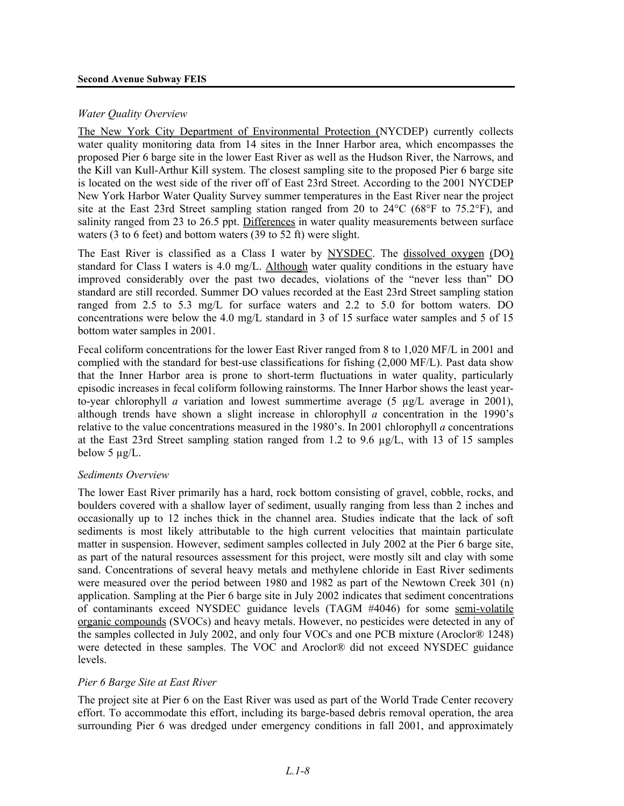#### *Water Quality Overview*

The New York City Department of Environmental Protection (NYCDEP) currently collects water quality monitoring data from 14 sites in the Inner Harbor area, which encompasses the proposed Pier 6 barge site in the lower East River as well as the Hudson River, the Narrows, and the Kill van Kull-Arthur Kill system. The closest sampling site to the proposed Pier 6 barge site is located on the west side of the river off of East 23rd Street. According to the 2001 NYCDEP New York Harbor Water Quality Survey summer temperatures in the East River near the project site at the East 23rd Street sampling station ranged from 20 to  $24^{\circ}$ C (68°F to 75.2°F), and salinity ranged from 23 to 26.5 ppt. Differences in water quality measurements between surface waters (3 to 6 feet) and bottom waters (39 to 52 ft) were slight.

The East River is classified as a Class I water by NYSDEC. The dissolved oxygen (DO) standard for Class I waters is 4.0 mg/L. Although water quality conditions in the estuary have improved considerably over the past two decades, violations of the "never less than" DO standard are still recorded. Summer DO values recorded at the East 23rd Street sampling station ranged from 2.5 to 5.3 mg/L for surface waters and 2.2 to 5.0 for bottom waters. DO concentrations were below the 4.0 mg/L standard in 3 of 15 surface water samples and 5 of 15 bottom water samples in 2001.

Fecal coliform concentrations for the lower East River ranged from 8 to 1,020 MF/L in 2001 and complied with the standard for best-use classifications for fishing (2,000 MF/L). Past data show that the Inner Harbor area is prone to short-term fluctuations in water quality, particularly episodic increases in fecal coliform following rainstorms. The Inner Harbor shows the least yearto-year chlorophyll *a* variation and lowest summertime average  $(5 \mu g/L)$  average in 2001), although trends have shown a slight increase in chlorophyll *a* concentration in the 1990's relative to the value concentrations measured in the 1980's. In 2001 chlorophyll *a* concentrations at the East 23rd Street sampling station ranged from 1.2 to 9.6  $\mu$ g/L, with 13 of 15 samples below 5 µg/L.

#### *Sediments Overview*

The lower East River primarily has a hard, rock bottom consisting of gravel, cobble, rocks, and boulders covered with a shallow layer of sediment, usually ranging from less than 2 inches and occasionally up to 12 inches thick in the channel area. Studies indicate that the lack of soft sediments is most likely attributable to the high current velocities that maintain particulate matter in suspension. However, sediment samples collected in July 2002 at the Pier 6 barge site, as part of the natural resources assessment for this project, were mostly silt and clay with some sand. Concentrations of several heavy metals and methylene chloride in East River sediments were measured over the period between 1980 and 1982 as part of the Newtown Creek 301 (n) application. Sampling at the Pier 6 barge site in July 2002 indicates that sediment concentrations of contaminants exceed NYSDEC guidance levels (TAGM #4046) for some semi-volatile organic compounds (SVOCs) and heavy metals. However, no pesticides were detected in any of the samples collected in July 2002, and only four VOCs and one PCB mixture (Aroclor® 1248) were detected in these samples. The VOC and Aroclor® did not exceed NYSDEC guidance levels.

#### *Pier 6 Barge Site at East River*

The project site at Pier 6 on the East River was used as part of the World Trade Center recovery effort. To accommodate this effort, including its barge-based debris removal operation, the area surrounding Pier 6 was dredged under emergency conditions in fall 2001, and approximately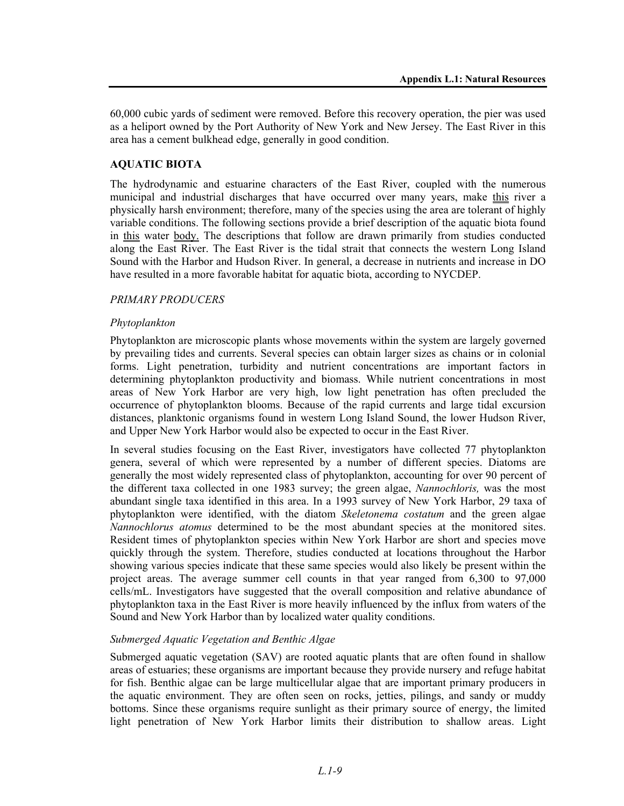60,000 cubic yards of sediment were removed. Before this recovery operation, the pier was used as a heliport owned by the Port Authority of New York and New Jersey. The East River in this area has a cement bulkhead edge, generally in good condition.

#### **AQUATIC BIOTA**

The hydrodynamic and estuarine characters of the East River, coupled with the numerous municipal and industrial discharges that have occurred over many years, make this river a physically harsh environment; therefore, many of the species using the area are tolerant of highly variable conditions. The following sections provide a brief description of the aquatic biota found in this water body. The descriptions that follow are drawn primarily from studies conducted along the East River. The East River is the tidal strait that connects the western Long Island Sound with the Harbor and Hudson River. In general, a decrease in nutrients and increase in DO have resulted in a more favorable habitat for aquatic biota, according to NYCDEP.

#### *PRIMARY PRODUCERS*

#### *Phytoplankton*

Phytoplankton are microscopic plants whose movements within the system are largely governed by prevailing tides and currents. Several species can obtain larger sizes as chains or in colonial forms. Light penetration, turbidity and nutrient concentrations are important factors in determining phytoplankton productivity and biomass. While nutrient concentrations in most areas of New York Harbor are very high, low light penetration has often precluded the occurrence of phytoplankton blooms. Because of the rapid currents and large tidal excursion distances, planktonic organisms found in western Long Island Sound, the lower Hudson River, and Upper New York Harbor would also be expected to occur in the East River.

In several studies focusing on the East River, investigators have collected 77 phytoplankton genera, several of which were represented by a number of different species. Diatoms are generally the most widely represented class of phytoplankton, accounting for over 90 percent of the different taxa collected in one 1983 survey; the green algae, *Nannochloris,* was the most abundant single taxa identified in this area. In a 1993 survey of New York Harbor, 29 taxa of phytoplankton were identified, with the diatom *Skeletonema costatum* and the green algae *Nannochlorus atomus* determined to be the most abundant species at the monitored sites. Resident times of phytoplankton species within New York Harbor are short and species move quickly through the system. Therefore, studies conducted at locations throughout the Harbor showing various species indicate that these same species would also likely be present within the project areas. The average summer cell counts in that year ranged from 6,300 to 97,000 cells/mL. Investigators have suggested that the overall composition and relative abundance of phytoplankton taxa in the East River is more heavily influenced by the influx from waters of the Sound and New York Harbor than by localized water quality conditions.

#### *Submerged Aquatic Vegetation and Benthic Algae*

Submerged aquatic vegetation (SAV) are rooted aquatic plants that are often found in shallow areas of estuaries; these organisms are important because they provide nursery and refuge habitat for fish. Benthic algae can be large multicellular algae that are important primary producers in the aquatic environment. They are often seen on rocks, jetties, pilings, and sandy or muddy bottoms. Since these organisms require sunlight as their primary source of energy, the limited light penetration of New York Harbor limits their distribution to shallow areas. Light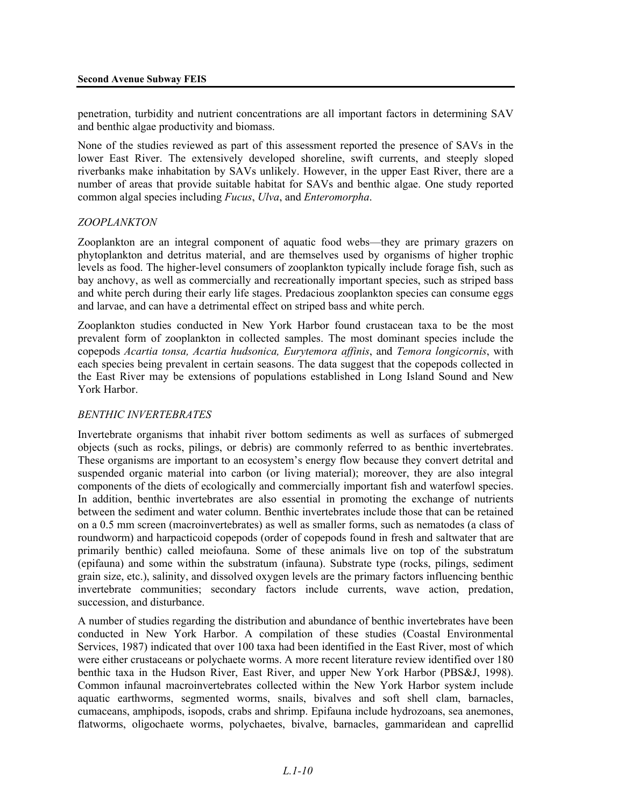penetration, turbidity and nutrient concentrations are all important factors in determining SAV and benthic algae productivity and biomass.

None of the studies reviewed as part of this assessment reported the presence of SAVs in the lower East River. The extensively developed shoreline, swift currents, and steeply sloped riverbanks make inhabitation by SAVs unlikely. However, in the upper East River, there are a number of areas that provide suitable habitat for SAVs and benthic algae. One study reported common algal species including *Fucus*, *Ulva*, and *Enteromorpha*.

#### *ZOOPLANKTON*

Zooplankton are an integral component of aquatic food webs—they are primary grazers on phytoplankton and detritus material, and are themselves used by organisms of higher trophic levels as food. The higher-level consumers of zooplankton typically include forage fish, such as bay anchovy, as well as commercially and recreationally important species, such as striped bass and white perch during their early life stages. Predacious zooplankton species can consume eggs and larvae, and can have a detrimental effect on striped bass and white perch.

Zooplankton studies conducted in New York Harbor found crustacean taxa to be the most prevalent form of zooplankton in collected samples. The most dominant species include the copepods *Acartia tonsa, Acartia hudsonica, Eurytemora affinis*, and *Temora longicornis*, with each species being prevalent in certain seasons. The data suggest that the copepods collected in the East River may be extensions of populations established in Long Island Sound and New York Harbor.

#### *BENTHIC INVERTEBRATES*

Invertebrate organisms that inhabit river bottom sediments as well as surfaces of submerged objects (such as rocks, pilings, or debris) are commonly referred to as benthic invertebrates. These organisms are important to an ecosystem's energy flow because they convert detrital and suspended organic material into carbon (or living material); moreover, they are also integral components of the diets of ecologically and commercially important fish and waterfowl species. In addition, benthic invertebrates are also essential in promoting the exchange of nutrients between the sediment and water column. Benthic invertebrates include those that can be retained on a 0.5 mm screen (macroinvertebrates) as well as smaller forms, such as nematodes (a class of roundworm) and harpacticoid copepods (order of copepods found in fresh and saltwater that are primarily benthic) called meiofauna. Some of these animals live on top of the substratum (epifauna) and some within the substratum (infauna). Substrate type (rocks, pilings, sediment grain size, etc.), salinity, and dissolved oxygen levels are the primary factors influencing benthic invertebrate communities; secondary factors include currents, wave action, predation, succession, and disturbance.

A number of studies regarding the distribution and abundance of benthic invertebrates have been conducted in New York Harbor. A compilation of these studies (Coastal Environmental Services, 1987) indicated that over 100 taxa had been identified in the East River, most of which were either crustaceans or polychaete worms. A more recent literature review identified over 180 benthic taxa in the Hudson River, East River, and upper New York Harbor (PBS&J, 1998). Common infaunal macroinvertebrates collected within the New York Harbor system include aquatic earthworms, segmented worms, snails, bivalves and soft shell clam, barnacles, cumaceans, amphipods, isopods, crabs and shrimp. Epifauna include hydrozoans, sea anemones, flatworms, oligochaete worms, polychaetes, bivalve, barnacles, gammaridean and caprellid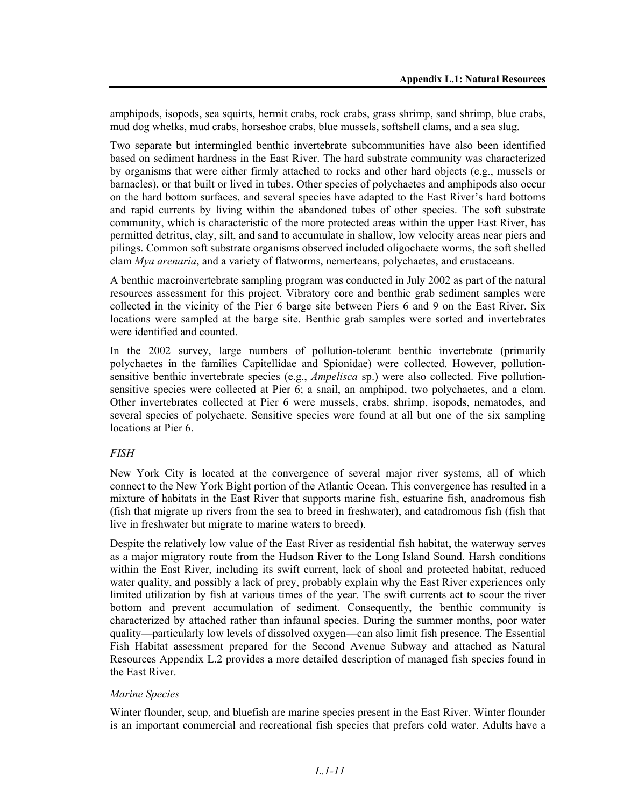amphipods, isopods, sea squirts, hermit crabs, rock crabs, grass shrimp, sand shrimp, blue crabs, mud dog whelks, mud crabs, horseshoe crabs, blue mussels, softshell clams, and a sea slug.

Two separate but intermingled benthic invertebrate subcommunities have also been identified based on sediment hardness in the East River. The hard substrate community was characterized by organisms that were either firmly attached to rocks and other hard objects (e.g., mussels or barnacles), or that built or lived in tubes. Other species of polychaetes and amphipods also occur on the hard bottom surfaces, and several species have adapted to the East River's hard bottoms and rapid currents by living within the abandoned tubes of other species. The soft substrate community, which is characteristic of the more protected areas within the upper East River, has permitted detritus, clay, silt, and sand to accumulate in shallow, low velocity areas near piers and pilings. Common soft substrate organisms observed included oligochaete worms, the soft shelled clam *Mya arenaria*, and a variety of flatworms, nemerteans, polychaetes, and crustaceans.

A benthic macroinvertebrate sampling program was conducted in July 2002 as part of the natural resources assessment for this project. Vibratory core and benthic grab sediment samples were collected in the vicinity of the Pier 6 barge site between Piers 6 and 9 on the East River. Six locations were sampled at the barge site. Benthic grab samples were sorted and invertebrates were identified and counted.

In the 2002 survey, large numbers of pollution-tolerant benthic invertebrate (primarily polychaetes in the families Capitellidae and Spionidae) were collected. However, pollutionsensitive benthic invertebrate species (e.g., *Ampelisca* sp.) were also collected. Five pollutionsensitive species were collected at Pier 6; a snail, an amphipod, two polychaetes, and a clam. Other invertebrates collected at Pier 6 were mussels, crabs, shrimp, isopods, nematodes, and several species of polychaete. Sensitive species were found at all but one of the six sampling locations at Pier 6.

#### *FISH*

New York City is located at the convergence of several major river systems, all of which connect to the New York Bight portion of the Atlantic Ocean. This convergence has resulted in a mixture of habitats in the East River that supports marine fish, estuarine fish, anadromous fish (fish that migrate up rivers from the sea to breed in freshwater), and catadromous fish (fish that live in freshwater but migrate to marine waters to breed).

Despite the relatively low value of the East River as residential fish habitat, the waterway serves as a major migratory route from the Hudson River to the Long Island Sound. Harsh conditions within the East River, including its swift current, lack of shoal and protected habitat, reduced water quality, and possibly a lack of prey, probably explain why the East River experiences only limited utilization by fish at various times of the year. The swift currents act to scour the river bottom and prevent accumulation of sediment. Consequently, the benthic community is characterized by attached rather than infaunal species. During the summer months, poor water quality—particularly low levels of dissolved oxygen—can also limit fish presence. The Essential Fish Habitat assessment prepared for the Second Avenue Subway and attached as Natural Resources Appendix L.2 provides a more detailed description of managed fish species found in the East River.

#### *Marine Species*

Winter flounder, scup, and bluefish are marine species present in the East River. Winter flounder is an important commercial and recreational fish species that prefers cold water. Adults have a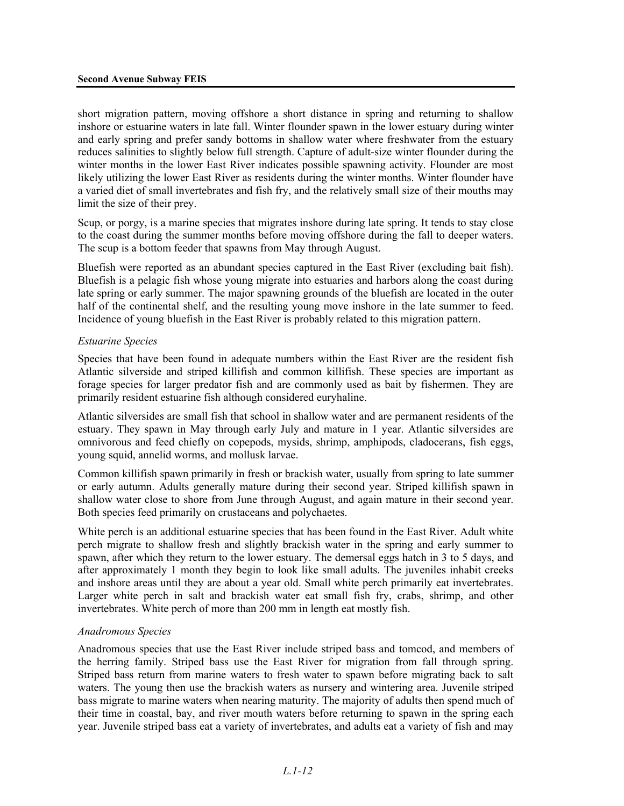short migration pattern, moving offshore a short distance in spring and returning to shallow inshore or estuarine waters in late fall. Winter flounder spawn in the lower estuary during winter and early spring and prefer sandy bottoms in shallow water where freshwater from the estuary reduces salinities to slightly below full strength. Capture of adult-size winter flounder during the winter months in the lower East River indicates possible spawning activity. Flounder are most likely utilizing the lower East River as residents during the winter months. Winter flounder have a varied diet of small invertebrates and fish fry, and the relatively small size of their mouths may limit the size of their prey.

Scup, or porgy, is a marine species that migrates inshore during late spring. It tends to stay close to the coast during the summer months before moving offshore during the fall to deeper waters. The scup is a bottom feeder that spawns from May through August.

Bluefish were reported as an abundant species captured in the East River (excluding bait fish). Bluefish is a pelagic fish whose young migrate into estuaries and harbors along the coast during late spring or early summer. The major spawning grounds of the bluefish are located in the outer half of the continental shelf, and the resulting young move inshore in the late summer to feed. Incidence of young bluefish in the East River is probably related to this migration pattern.

#### *Estuarine Species*

Species that have been found in adequate numbers within the East River are the resident fish Atlantic silverside and striped killifish and common killifish. These species are important as forage species for larger predator fish and are commonly used as bait by fishermen. They are primarily resident estuarine fish although considered euryhaline.

Atlantic silversides are small fish that school in shallow water and are permanent residents of the estuary. They spawn in May through early July and mature in 1 year. Atlantic silversides are omnivorous and feed chiefly on copepods, mysids, shrimp, amphipods, cladocerans, fish eggs, young squid, annelid worms, and mollusk larvae.

Common killifish spawn primarily in fresh or brackish water, usually from spring to late summer or early autumn. Adults generally mature during their second year. Striped killifish spawn in shallow water close to shore from June through August, and again mature in their second year. Both species feed primarily on crustaceans and polychaetes.

White perch is an additional estuarine species that has been found in the East River. Adult white perch migrate to shallow fresh and slightly brackish water in the spring and early summer to spawn, after which they return to the lower estuary. The demersal eggs hatch in 3 to 5 days, and after approximately 1 month they begin to look like small adults. The juveniles inhabit creeks and inshore areas until they are about a year old. Small white perch primarily eat invertebrates. Larger white perch in salt and brackish water eat small fish fry, crabs, shrimp, and other invertebrates. White perch of more than 200 mm in length eat mostly fish.

#### *Anadromous Species*

Anadromous species that use the East River include striped bass and tomcod, and members of the herring family. Striped bass use the East River for migration from fall through spring. Striped bass return from marine waters to fresh water to spawn before migrating back to salt waters. The young then use the brackish waters as nursery and wintering area. Juvenile striped bass migrate to marine waters when nearing maturity. The majority of adults then spend much of their time in coastal, bay, and river mouth waters before returning to spawn in the spring each year. Juvenile striped bass eat a variety of invertebrates, and adults eat a variety of fish and may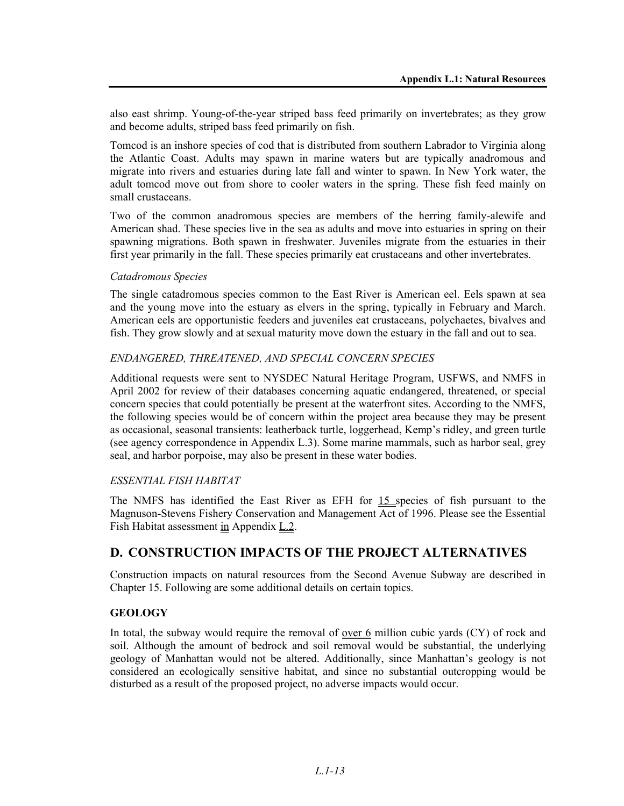also east shrimp. Young-of-the-year striped bass feed primarily on invertebrates; as they grow and become adults, striped bass feed primarily on fish.

Tomcod is an inshore species of cod that is distributed from southern Labrador to Virginia along the Atlantic Coast. Adults may spawn in marine waters but are typically anadromous and migrate into rivers and estuaries during late fall and winter to spawn. In New York water, the adult tomcod move out from shore to cooler waters in the spring. These fish feed mainly on small crustaceans.

Two of the common anadromous species are members of the herring family-alewife and American shad. These species live in the sea as adults and move into estuaries in spring on their spawning migrations. Both spawn in freshwater. Juveniles migrate from the estuaries in their first year primarily in the fall. These species primarily eat crustaceans and other invertebrates.

#### *Catadromous Species*

The single catadromous species common to the East River is American eel. Eels spawn at sea and the young move into the estuary as elvers in the spring, typically in February and March. American eels are opportunistic feeders and juveniles eat crustaceans, polychaetes, bivalves and fish. They grow slowly and at sexual maturity move down the estuary in the fall and out to sea.

#### *ENDANGERED, THREATENED, AND SPECIAL CONCERN SPECIES*

Additional requests were sent to NYSDEC Natural Heritage Program, USFWS, and NMFS in April 2002 for review of their databases concerning aquatic endangered, threatened, or special concern species that could potentially be present at the waterfront sites. According to the NMFS, the following species would be of concern within the project area because they may be present as occasional, seasonal transients: leatherback turtle, loggerhead, Kemp's ridley, and green turtle (see agency correspondence in Appendix L.3). Some marine mammals, such as harbor seal, grey seal, and harbor porpoise, may also be present in these water bodies.

#### *ESSENTIAL FISH HABITAT*

The NMFS has identified the East River as EFH for 15 species of fish pursuant to the Magnuson-Stevens Fishery Conservation and Management Act of 1996. Please see the Essential Fish Habitat assessment in Appendix L.2.

## **D. CONSTRUCTION IMPACTS OF THE PROJECT ALTERNATIVES**

Construction impacts on natural resources from the Second Avenue Subway are described in Chapter 15. Following are some additional details on certain topics.

#### **GEOLOGY**

In total, the subway would require the removal of <u>over 6</u> million cubic yards  $(CY)$  of rock and soil. Although the amount of bedrock and soil removal would be substantial, the underlying geology of Manhattan would not be altered. Additionally, since Manhattan's geology is not considered an ecologically sensitive habitat, and since no substantial outcropping would be disturbed as a result of the proposed project, no adverse impacts would occur.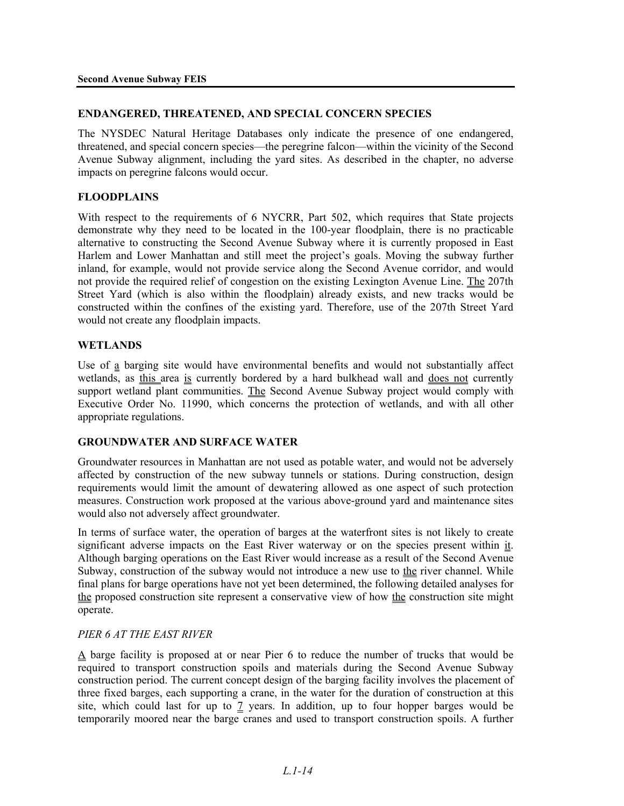#### **ENDANGERED, THREATENED, AND SPECIAL CONCERN SPECIES**

The NYSDEC Natural Heritage Databases only indicate the presence of one endangered, threatened, and special concern species—the peregrine falcon—within the vicinity of the Second Avenue Subway alignment, including the yard sites. As described in the chapter, no adverse impacts on peregrine falcons would occur.

#### **FLOODPLAINS**

With respect to the requirements of 6 NYCRR, Part 502, which requires that State projects demonstrate why they need to be located in the 100-year floodplain, there is no practicable alternative to constructing the Second Avenue Subway where it is currently proposed in East Harlem and Lower Manhattan and still meet the project's goals. Moving the subway further inland, for example, would not provide service along the Second Avenue corridor, and would not provide the required relief of congestion on the existing Lexington Avenue Line. The 207th Street Yard (which is also within the floodplain) already exists, and new tracks would be constructed within the confines of the existing yard. Therefore, use of the 207th Street Yard would not create any floodplain impacts.

#### **WETLANDS**

Use of a barging site would have environmental benefits and would not substantially affect wetlands, as this area is currently bordered by a hard bulkhead wall and does not currently support wetland plant communities. The Second Avenue Subway project would comply with Executive Order No. 11990, which concerns the protection of wetlands, and with all other appropriate regulations.

#### **GROUNDWATER AND SURFACE WATER**

Groundwater resources in Manhattan are not used as potable water, and would not be adversely affected by construction of the new subway tunnels or stations. During construction, design requirements would limit the amount of dewatering allowed as one aspect of such protection measures. Construction work proposed at the various above-ground yard and maintenance sites would also not adversely affect groundwater.

In terms of surface water, the operation of barges at the waterfront sites is not likely to create significant adverse impacts on the East River waterway or on the species present within it. Although barging operations on the East River would increase as a result of the Second Avenue Subway, construction of the subway would not introduce a new use to the river channel. While final plans for barge operations have not yet been determined, the following detailed analyses for the proposed construction site represent a conservative view of how the construction site might operate.

#### *PIER 6 AT THE EAST RIVER*

A barge facility is proposed at or near Pier 6 to reduce the number of trucks that would be required to transport construction spoils and materials during the Second Avenue Subway construction period. The current concept design of the barging facility involves the placement of three fixed barges, each supporting a crane, in the water for the duration of construction at this site, which could last for up to 7 years. In addition, up to four hopper barges would be temporarily moored near the barge cranes and used to transport construction spoils. A further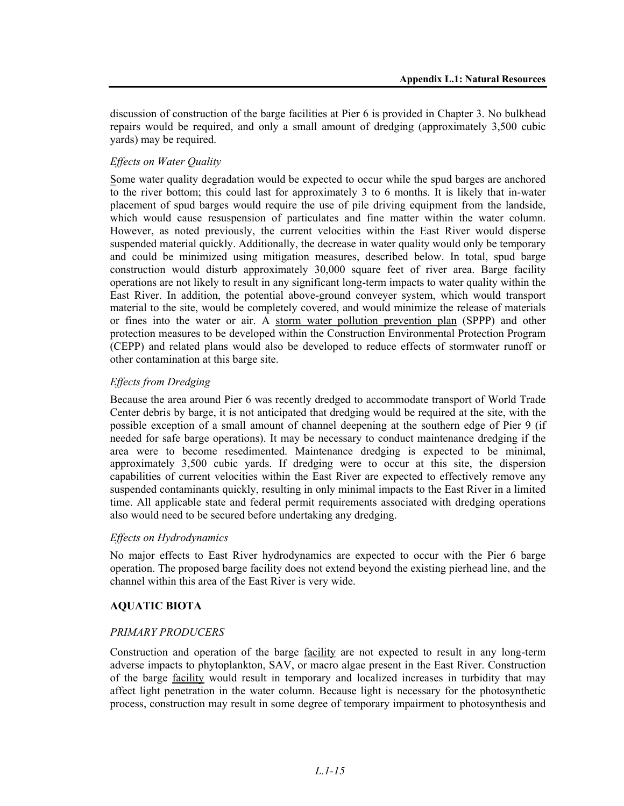discussion of construction of the barge facilities at Pier 6 is provided in Chapter 3. No bulkhead repairs would be required, and only a small amount of dredging (approximately 3,500 cubic yards) may be required.

#### *Effects on Water Quality*

Some water quality degradation would be expected to occur while the spud barges are anchored to the river bottom; this could last for approximately 3 to 6 months. It is likely that in-water placement of spud barges would require the use of pile driving equipment from the landside, which would cause resuspension of particulates and fine matter within the water column. However, as noted previously, the current velocities within the East River would disperse suspended material quickly. Additionally, the decrease in water quality would only be temporary and could be minimized using mitigation measures, described below. In total, spud barge construction would disturb approximately 30,000 square feet of river area. Barge facility operations are not likely to result in any significant long-term impacts to water quality within the East River. In addition, the potential above-ground conveyer system, which would transport material to the site, would be completely covered, and would minimize the release of materials or fines into the water or air. A storm water pollution prevention plan (SPPP) and other protection measures to be developed within the Construction Environmental Protection Program (CEPP) and related plans would also be developed to reduce effects of stormwater runoff or other contamination at this barge site.

#### *Effects from Dredging*

Because the area around Pier 6 was recently dredged to accommodate transport of World Trade Center debris by barge, it is not anticipated that dredging would be required at the site, with the possible exception of a small amount of channel deepening at the southern edge of Pier 9 (if needed for safe barge operations). It may be necessary to conduct maintenance dredging if the area were to become resedimented. Maintenance dredging is expected to be minimal, approximately 3,500 cubic yards. If dredging were to occur at this site, the dispersion capabilities of current velocities within the East River are expected to effectively remove any suspended contaminants quickly, resulting in only minimal impacts to the East River in a limited time. All applicable state and federal permit requirements associated with dredging operations also would need to be secured before undertaking any dredging.

#### *Effects on Hydrodynamics*

No major effects to East River hydrodynamics are expected to occur with the Pier 6 barge operation. The proposed barge facility does not extend beyond the existing pierhead line, and the channel within this area of the East River is very wide.

#### **AQUATIC BIOTA**

#### *PRIMARY PRODUCERS*

Construction and operation of the barge facility are not expected to result in any long-term adverse impacts to phytoplankton, SAV, or macro algae present in the East River. Construction of the barge facility would result in temporary and localized increases in turbidity that may affect light penetration in the water column. Because light is necessary for the photosynthetic process, construction may result in some degree of temporary impairment to photosynthesis and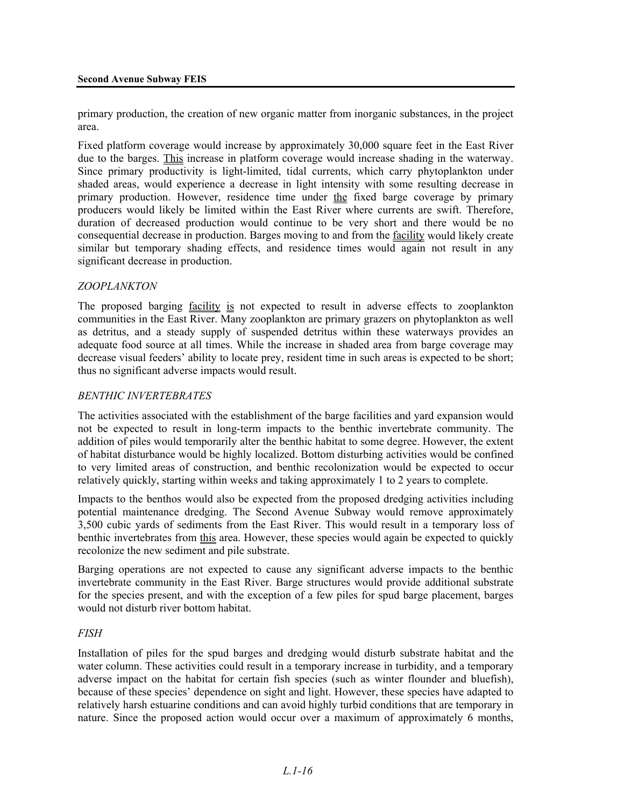primary production, the creation of new organic matter from inorganic substances, in the project area.

Fixed platform coverage would increase by approximately 30,000 square feet in the East River due to the barges. This increase in platform coverage would increase shading in the waterway. Since primary productivity is light-limited, tidal currents, which carry phytoplankton under shaded areas, would experience a decrease in light intensity with some resulting decrease in primary production. However, residence time under the fixed barge coverage by primary producers would likely be limited within the East River where currents are swift. Therefore, duration of decreased production would continue to be very short and there would be no consequential decrease in production. Barges moving to and from the facility would likely create similar but temporary shading effects, and residence times would again not result in any significant decrease in production.

#### *ZOOPLANKTON*

The proposed barging facility is not expected to result in adverse effects to zooplankton communities in the East River. Many zooplankton are primary grazers on phytoplankton as well as detritus, and a steady supply of suspended detritus within these waterways provides an adequate food source at all times. While the increase in shaded area from barge coverage may decrease visual feeders' ability to locate prey, resident time in such areas is expected to be short; thus no significant adverse impacts would result.

#### *BENTHIC INVERTEBRATES*

The activities associated with the establishment of the barge facilities and yard expansion would not be expected to result in long-term impacts to the benthic invertebrate community. The addition of piles would temporarily alter the benthic habitat to some degree. However, the extent of habitat disturbance would be highly localized. Bottom disturbing activities would be confined to very limited areas of construction, and benthic recolonization would be expected to occur relatively quickly, starting within weeks and taking approximately 1 to 2 years to complete.

Impacts to the benthos would also be expected from the proposed dredging activities including potential maintenance dredging. The Second Avenue Subway would remove approximately 3,500 cubic yards of sediments from the East River. This would result in a temporary loss of benthic invertebrates from this area. However, these species would again be expected to quickly recolonize the new sediment and pile substrate.

Barging operations are not expected to cause any significant adverse impacts to the benthic invertebrate community in the East River. Barge structures would provide additional substrate for the species present, and with the exception of a few piles for spud barge placement, barges would not disturb river bottom habitat.

#### *FISH*

Installation of piles for the spud barges and dredging would disturb substrate habitat and the water column. These activities could result in a temporary increase in turbidity, and a temporary adverse impact on the habitat for certain fish species (such as winter flounder and bluefish), because of these species' dependence on sight and light. However, these species have adapted to relatively harsh estuarine conditions and can avoid highly turbid conditions that are temporary in nature. Since the proposed action would occur over a maximum of approximately 6 months,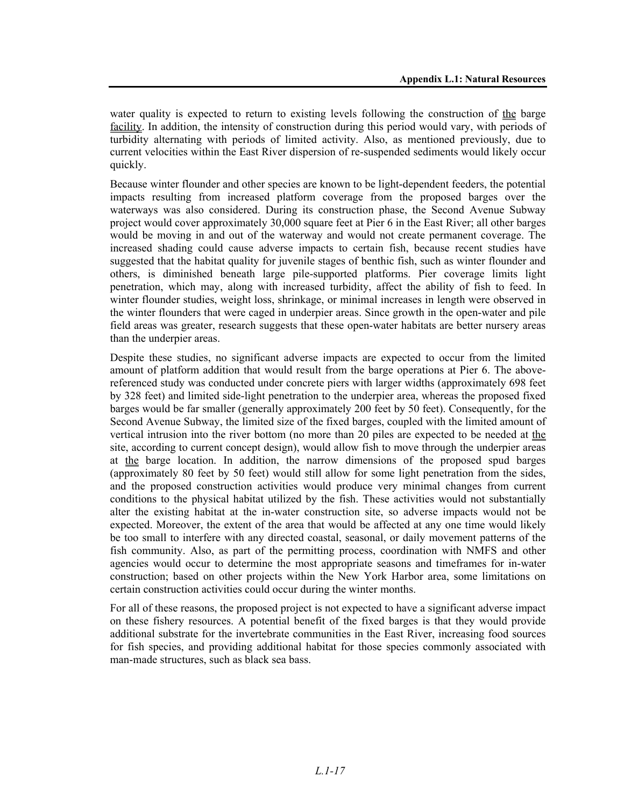water quality is expected to return to existing levels following the construction of the barge facility. In addition, the intensity of construction during this period would vary, with periods of turbidity alternating with periods of limited activity. Also, as mentioned previously, due to current velocities within the East River dispersion of re-suspended sediments would likely occur quickly.

Because winter flounder and other species are known to be light-dependent feeders, the potential impacts resulting from increased platform coverage from the proposed barges over the waterways was also considered. During its construction phase, the Second Avenue Subway project would cover approximately 30,000 square feet at Pier 6 in the East River; all other barges would be moving in and out of the waterway and would not create permanent coverage. The increased shading could cause adverse impacts to certain fish, because recent studies have suggested that the habitat quality for juvenile stages of benthic fish, such as winter flounder and others, is diminished beneath large pile-supported platforms. Pier coverage limits light penetration, which may, along with increased turbidity, affect the ability of fish to feed. In winter flounder studies, weight loss, shrinkage, or minimal increases in length were observed in the winter flounders that were caged in underpier areas. Since growth in the open-water and pile field areas was greater, research suggests that these open-water habitats are better nursery areas than the underpier areas.

Despite these studies, no significant adverse impacts are expected to occur from the limited amount of platform addition that would result from the barge operations at Pier 6. The abovereferenced study was conducted under concrete piers with larger widths (approximately 698 feet by 328 feet) and limited side-light penetration to the underpier area, whereas the proposed fixed barges would be far smaller (generally approximately 200 feet by 50 feet). Consequently, for the Second Avenue Subway, the limited size of the fixed barges, coupled with the limited amount of vertical intrusion into the river bottom (no more than 20 piles are expected to be needed at the site, according to current concept design), would allow fish to move through the underpier areas at the barge location. In addition, the narrow dimensions of the proposed spud barges (approximately 80 feet by 50 feet) would still allow for some light penetration from the sides, and the proposed construction activities would produce very minimal changes from current conditions to the physical habitat utilized by the fish. These activities would not substantially alter the existing habitat at the in-water construction site, so adverse impacts would not be expected. Moreover, the extent of the area that would be affected at any one time would likely be too small to interfere with any directed coastal, seasonal, or daily movement patterns of the fish community. Also, as part of the permitting process, coordination with NMFS and other agencies would occur to determine the most appropriate seasons and timeframes for in-water construction; based on other projects within the New York Harbor area, some limitations on certain construction activities could occur during the winter months.

For all of these reasons, the proposed project is not expected to have a significant adverse impact on these fishery resources. A potential benefit of the fixed barges is that they would provide additional substrate for the invertebrate communities in the East River, increasing food sources for fish species, and providing additional habitat for those species commonly associated with man-made structures, such as black sea bass.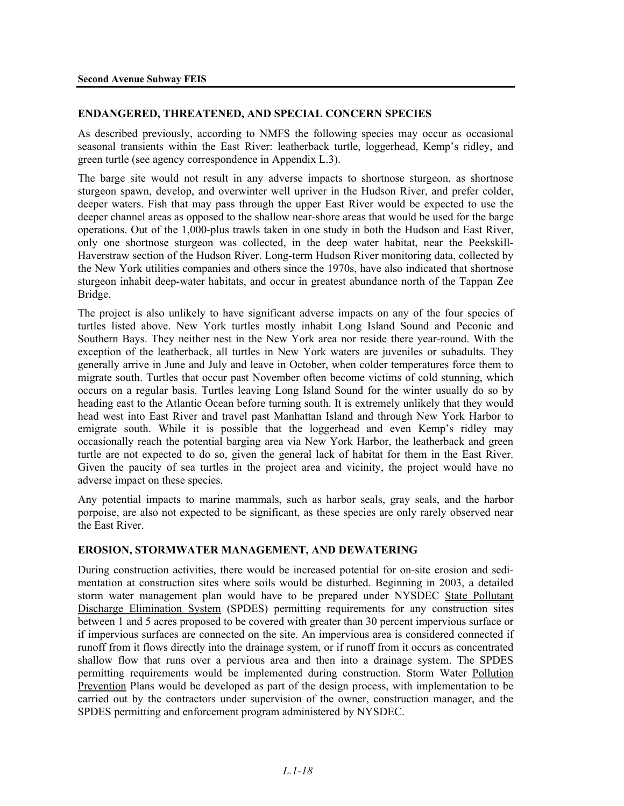#### **ENDANGERED, THREATENED, AND SPECIAL CONCERN SPECIES**

As described previously, according to NMFS the following species may occur as occasional seasonal transients within the East River: leatherback turtle, loggerhead, Kemp's ridley, and green turtle (see agency correspondence in Appendix L.3).

The barge site would not result in any adverse impacts to shortnose sturgeon, as shortnose sturgeon spawn, develop, and overwinter well upriver in the Hudson River, and prefer colder, deeper waters. Fish that may pass through the upper East River would be expected to use the deeper channel areas as opposed to the shallow near-shore areas that would be used for the barge operations. Out of the 1,000-plus trawls taken in one study in both the Hudson and East River, only one shortnose sturgeon was collected, in the deep water habitat, near the Peekskill-Haverstraw section of the Hudson River. Long-term Hudson River monitoring data, collected by the New York utilities companies and others since the 1970s, have also indicated that shortnose sturgeon inhabit deep-water habitats, and occur in greatest abundance north of the Tappan Zee Bridge.

The project is also unlikely to have significant adverse impacts on any of the four species of turtles listed above. New York turtles mostly inhabit Long Island Sound and Peconic and Southern Bays. They neither nest in the New York area nor reside there year-round. With the exception of the leatherback, all turtles in New York waters are juveniles or subadults. They generally arrive in June and July and leave in October, when colder temperatures force them to migrate south. Turtles that occur past November often become victims of cold stunning, which occurs on a regular basis. Turtles leaving Long Island Sound for the winter usually do so by heading east to the Atlantic Ocean before turning south. It is extremely unlikely that they would head west into East River and travel past Manhattan Island and through New York Harbor to emigrate south. While it is possible that the loggerhead and even Kemp's ridley may occasionally reach the potential barging area via New York Harbor, the leatherback and green turtle are not expected to do so, given the general lack of habitat for them in the East River. Given the paucity of sea turtles in the project area and vicinity, the project would have no adverse impact on these species.

Any potential impacts to marine mammals, such as harbor seals, gray seals, and the harbor porpoise, are also not expected to be significant, as these species are only rarely observed near the East River.

#### **EROSION, STORMWATER MANAGEMENT, AND DEWATERING**

During construction activities, there would be increased potential for on-site erosion and sedimentation at construction sites where soils would be disturbed. Beginning in 2003, a detailed storm water management plan would have to be prepared under NYSDEC State Pollutant Discharge Elimination System (SPDES) permitting requirements for any construction sites between 1 and 5 acres proposed to be covered with greater than 30 percent impervious surface or if impervious surfaces are connected on the site. An impervious area is considered connected if runoff from it flows directly into the drainage system, or if runoff from it occurs as concentrated shallow flow that runs over a pervious area and then into a drainage system. The SPDES permitting requirements would be implemented during construction. Storm Water Pollution Prevention Plans would be developed as part of the design process, with implementation to be carried out by the contractors under supervision of the owner, construction manager, and the SPDES permitting and enforcement program administered by NYSDEC.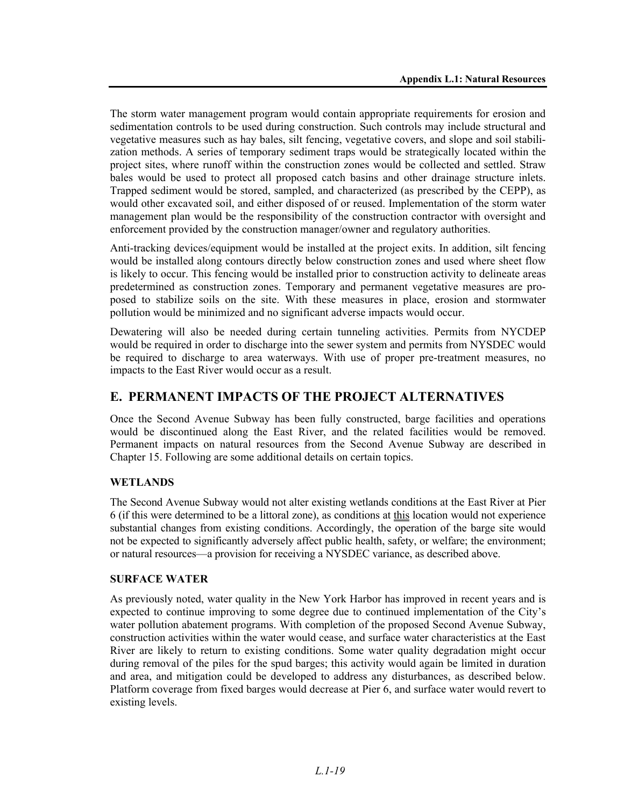The storm water management program would contain appropriate requirements for erosion and sedimentation controls to be used during construction. Such controls may include structural and vegetative measures such as hay bales, silt fencing, vegetative covers, and slope and soil stabilization methods. A series of temporary sediment traps would be strategically located within the project sites, where runoff within the construction zones would be collected and settled. Straw bales would be used to protect all proposed catch basins and other drainage structure inlets. Trapped sediment would be stored, sampled, and characterized (as prescribed by the CEPP), as would other excavated soil, and either disposed of or reused. Implementation of the storm water management plan would be the responsibility of the construction contractor with oversight and enforcement provided by the construction manager/owner and regulatory authorities.

Anti-tracking devices/equipment would be installed at the project exits. In addition, silt fencing would be installed along contours directly below construction zones and used where sheet flow is likely to occur. This fencing would be installed prior to construction activity to delineate areas predetermined as construction zones. Temporary and permanent vegetative measures are proposed to stabilize soils on the site. With these measures in place, erosion and stormwater pollution would be minimized and no significant adverse impacts would occur.

Dewatering will also be needed during certain tunneling activities. Permits from NYCDEP would be required in order to discharge into the sewer system and permits from NYSDEC would be required to discharge to area waterways. With use of proper pre-treatment measures, no impacts to the East River would occur as a result.

## **E. PERMANENT IMPACTS OF THE PROJECT ALTERNATIVES**

Once the Second Avenue Subway has been fully constructed, barge facilities and operations would be discontinued along the East River, and the related facilities would be removed. Permanent impacts on natural resources from the Second Avenue Subway are described in Chapter 15. Following are some additional details on certain topics.

### **WETLANDS**

The Second Avenue Subway would not alter existing wetlands conditions at the East River at Pier 6 (if this were determined to be a littoral zone), as conditions at this location would not experience substantial changes from existing conditions. Accordingly, the operation of the barge site would not be expected to significantly adversely affect public health, safety, or welfare; the environment; or natural resources—a provision for receiving a NYSDEC variance, as described above.

#### **SURFACE WATER**

As previously noted, water quality in the New York Harbor has improved in recent years and is expected to continue improving to some degree due to continued implementation of the City's water pollution abatement programs. With completion of the proposed Second Avenue Subway, construction activities within the water would cease, and surface water characteristics at the East River are likely to return to existing conditions. Some water quality degradation might occur during removal of the piles for the spud barges; this activity would again be limited in duration and area, and mitigation could be developed to address any disturbances, as described below. Platform coverage from fixed barges would decrease at Pier 6, and surface water would revert to existing levels.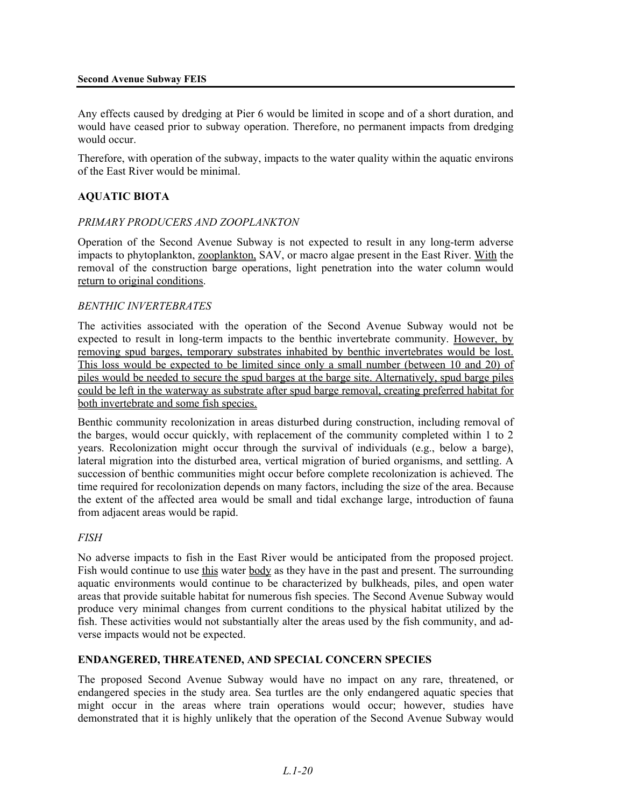#### **Second Avenue Subway FEIS**

Any effects caused by dredging at Pier 6 would be limited in scope and of a short duration, and would have ceased prior to subway operation. Therefore, no permanent impacts from dredging would occur.

Therefore, with operation of the subway, impacts to the water quality within the aquatic environs of the East River would be minimal.

### **AQUATIC BIOTA**

#### *PRIMARY PRODUCERS AND ZOOPLANKTON*

Operation of the Second Avenue Subway is not expected to result in any long-term adverse impacts to phytoplankton, zooplankton, SAV, or macro algae present in the East River. With the removal of the construction barge operations, light penetration into the water column would return to original conditions.

#### *BENTHIC INVERTEBRATES*

The activities associated with the operation of the Second Avenue Subway would not be expected to result in long-term impacts to the benthic invertebrate community. However, by removing spud barges, temporary substrates inhabited by benthic invertebrates would be lost. This loss would be expected to be limited since only a small number (between 10 and 20) of piles would be needed to secure the spud barges at the barge site. Alternatively, spud barge piles could be left in the waterway as substrate after spud barge removal, creating preferred habitat for both invertebrate and some fish species.

Benthic community recolonization in areas disturbed during construction, including removal of the barges, would occur quickly, with replacement of the community completed within 1 to 2 years. Recolonization might occur through the survival of individuals (e.g., below a barge), lateral migration into the disturbed area, vertical migration of buried organisms, and settling. A succession of benthic communities might occur before complete recolonization is achieved. The time required for recolonization depends on many factors, including the size of the area. Because the extent of the affected area would be small and tidal exchange large, introduction of fauna from adjacent areas would be rapid.

#### *FISH*

No adverse impacts to fish in the East River would be anticipated from the proposed project. Fish would continue to use this water body as they have in the past and present. The surrounding aquatic environments would continue to be characterized by bulkheads, piles, and open water areas that provide suitable habitat for numerous fish species. The Second Avenue Subway would produce very minimal changes from current conditions to the physical habitat utilized by the fish. These activities would not substantially alter the areas used by the fish community, and adverse impacts would not be expected.

#### **ENDANGERED, THREATENED, AND SPECIAL CONCERN SPECIES**

The proposed Second Avenue Subway would have no impact on any rare, threatened, or endangered species in the study area. Sea turtles are the only endangered aquatic species that might occur in the areas where train operations would occur; however, studies have demonstrated that it is highly unlikely that the operation of the Second Avenue Subway would